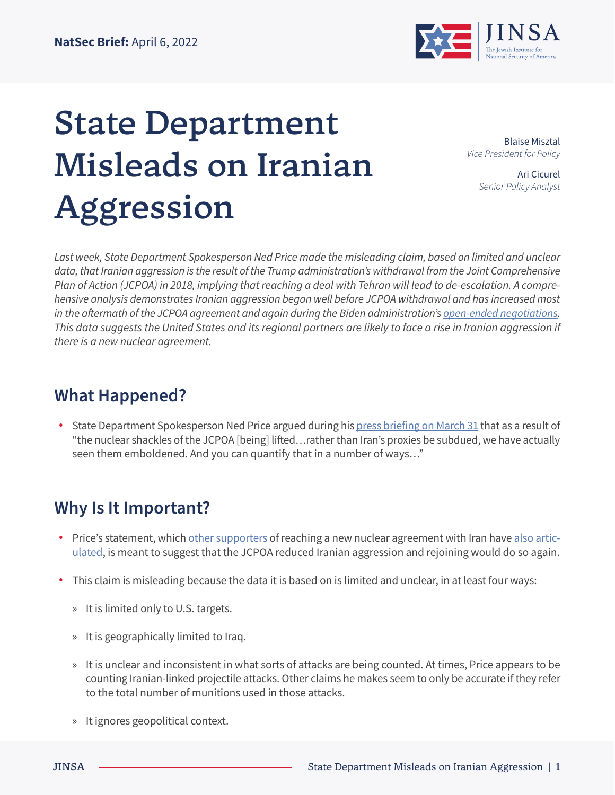

# State Department Misleads on Iranian Aggression

Blaise Misztal *Vice President for Policy*

> Ari Cicurel *Senior Policy Analyst*

*Last week, State Department Spokesperson Ned Price made the misleading claim, based on limited and unclear data, that Iranian aggression is the result of the Trump administration's withdrawal from the Joint Comprehensive Plan of Action (JCPOA) in 2018, implying that reaching a deal with Tehran will lead to de-escalation. A comprehensive analysis demonstrates Iranian aggression began well before JCPOA withdrawal and has increased most*  in the aftermath of the JCPOA agreement and again during the Biden administration's <u>open-ended negotiations</u>. *This data suggests the United States and its regional partners are likely to face a rise in Iranian aggression if there is a new nuclear agreement.*

# **What Happened?**

**•** State Department Spokesperson Ned Price argued during his [press briefing on March 31](https://www.state.gov/briefings/department-press-briefing-march-31-2022/#post-330423-IsrealIran) that as a result of "the nuclear shackles of the JCPOA [being] lifted…rather than Iran's proxies be subdued, we have actually seen them emboldened. And you can quantify that in a number of ways…"

# **Why Is It Important?**

- Price's statement, which [other supporters](https://twitter.com/ChrisMurphyCT/status/1489727438657622018?s=20&t=te1QHgVwN78f7zhfsyp6Yg) of reaching a new nuclear agreement with Iran have [also artic](https://www.whitehouse.gov/briefing-room/press-briefings/2022/01/12/press-briefing-by-press-secretary-jen-psaki-and-national-economic-council-director-brian-deese-january-12-2022/)[ulated](https://www.whitehouse.gov/briefing-room/press-briefings/2022/01/12/press-briefing-by-press-secretary-jen-psaki-and-national-economic-council-director-brian-deese-january-12-2022/), is meant to suggest that the JCPOA reduced Iranian aggression and rejoining would do so again.
- **•** This claim is misleading because the data it is based on is limited and unclear, in at least four ways:
	- » It is limited only to U.S. targets.
	- » It is geographically limited to Iraq.
	- » It is unclear and inconsistent in what sorts of attacks are being counted. At times, Price appears to be counting Iranian-linked projectile attacks. Other claims he makes seem to only be accurate if they refer to the total number of munitions used in those attacks.
	- » It ignores geopolitical context.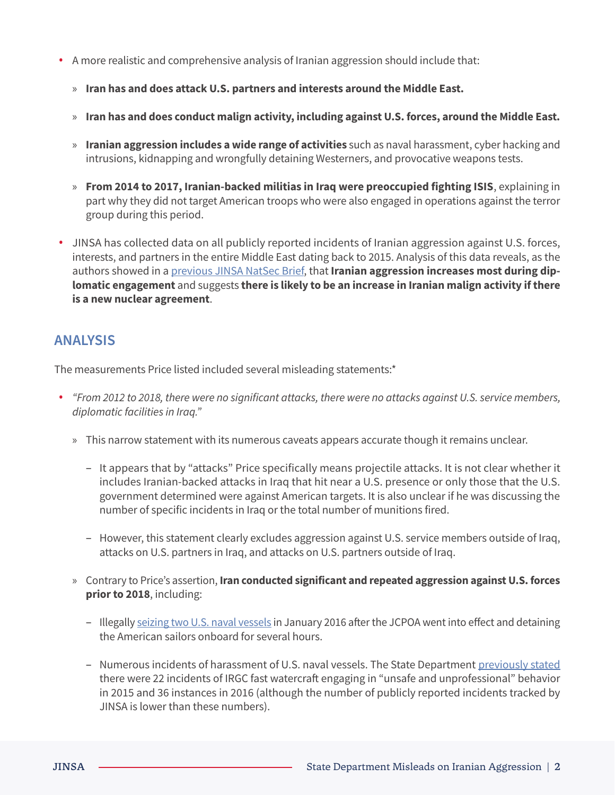- **•** A more realistic and comprehensive analysis of Iranian aggression should include that:
	- » **Iran has and does attack U.S. partners and interests around the Middle East.**
	- » **Iran has and does conduct malign activity, including against U.S. forces, around the Middle East.**
	- » **Iranian aggression includes a wide range of activities** such as naval harassment, cyber hacking and intrusions, kidnapping and wrongfully detaining Westerners, and provocative weapons tests.
	- » **From 2014 to 2017, Iranian-backed militias in Iraq were preoccupied fighting ISIS**, explaining in part why they did not target American troops who were also engaged in operations against the terror group during this period.
- **•** JINSA has collected data on all publicly reported incidents of Iranian aggression against U.S. forces, interests, and partners in the entire Middle East dating back to 2015. Analysis of this data reveals, as the authors showed in a [previous JINSA NatSec Brief,](https://jinsa.org/wp-content/uploads/2022/04/JINSA_20220331_MalignActivity.pdf) that **Iranian aggression increases most during diplomatic engagement** and suggests **there is likely to be an increase in Iranian malign activity if there is a new nuclear agreement**.

## **ANALYSIS**

The measurements Price listed included several misleading statements:\*

- **•** *"From 2012 to 2018, there were no significant attacks, there were no attacks against U.S. service members, diplomatic facilities in Iraq."*
	- » This narrow statement with its numerous caveats appears accurate though it remains unclear.
		- It appears that by "attacks" Price specifically means projectile attacks. It is not clear whether it includes Iranian-backed attacks in Iraq that hit near a U.S. presence or only those that the U.S. government determined were against American targets. It is also unclear if he was discussing the number of specific incidents in Iraq or the total number of munitions fired.
		- However, this statement clearly excludes aggression against U.S. service members outside of Iraq, attacks on U.S. partners in Iraq, and attacks on U.S. partners outside of Iraq.
	- » Contrary to Price's assertion, **Iran conducted significant and repeated aggression against U.S. forces prior to 2018**, including:
		- Illegally [seizing two U.S. naval vessels](https://www.nytimes.com/2016/01/13/world/middleeast/iran-holds-us-navy-boats-crew.html) in January 2016 after the JCPOA went into effect and detaining the American sailors onboard for several hours.
		- Numerous incidents of harassment of U.S. naval vessels. The State Department [previously stated](https://2017-2021.state.gov/iranian-regime-malign-activities-during-negotiations-with-iran-and-during-jcpoa/index.html) there were 22 incidents of IRGC fast watercraft engaging in "unsafe and unprofessional" behavior in 2015 and 36 instances in 2016 (although the number of publicly reported incidents tracked by JINSA is lower than these numbers).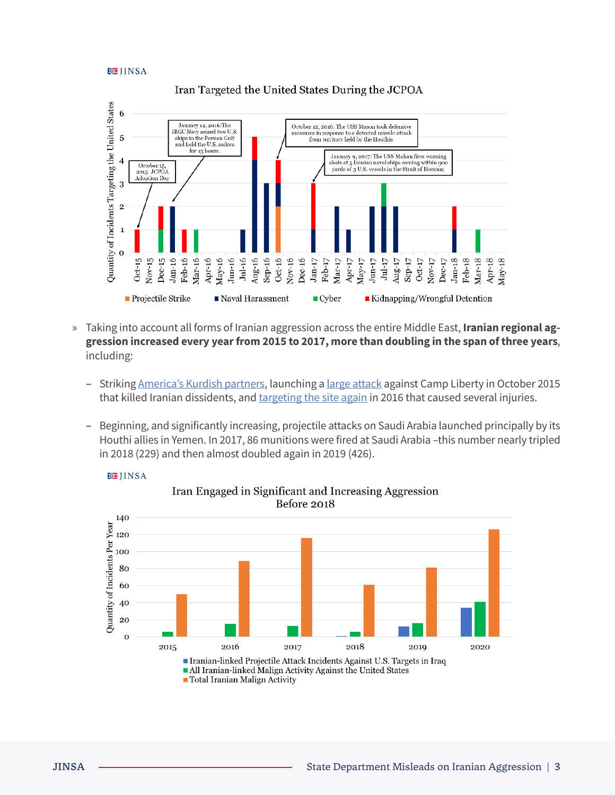#### **陸IINSA**



#### Iran Targeted the United States During the JCPOA

- » Taking into account all forms of Iranian aggression across the entire Middle East, **Iranian regional aggression increased every year from 2015 to 2017, more than doubling in the span of three years**, including:
	- Striking [America's Kurdish partners,](https://www.understandingwar.org/backgrounder/iran%E2%80%99s-role-kirkuk-operation-iraq) launching a [large attack](https://www.cnn.com/2015/10/30/world/iraq-camp-liberty-opposition-attack/index.html) against Camp Liberty in October 2015 that killed Iranian dissidents, and [targeting the site again](https://www.yahoo.com/news/rockets-target-iran-exiles-iraq-camp-203653493.html?guccounter=1&guce_referrer=aHR0cHM6Ly93d3cuZ29vZ2xlLmNvbS8&guce_referrer_sig=AQAAAAPZdIdHfSzPynjf7xVDf2h6faGVNNSwx_jzMQMEuvsrUAMmjqo0Q_RWgKHFpca_XDuWhKofca4WYYBZSPIMwFA55VAIPbuAowQ1F5-Yn7W-qh-gNjNEPQs0r-ojamtQIuA2jCS5sJJS5P_5iyHKv0R1OB5QaPz6RdCWx8kPsc_N) in 2016 that caused several injuries.
	- Beginning, and significantly increasing, projectile attacks on Saudi Arabia launched principally by its Houthi allies in Yemen. In 2017, 86 munitions were fired at Saudi Arabia –this number nearly tripled in 2018 (229) and then almost doubled again in 2019 (426).



**BEIINSA**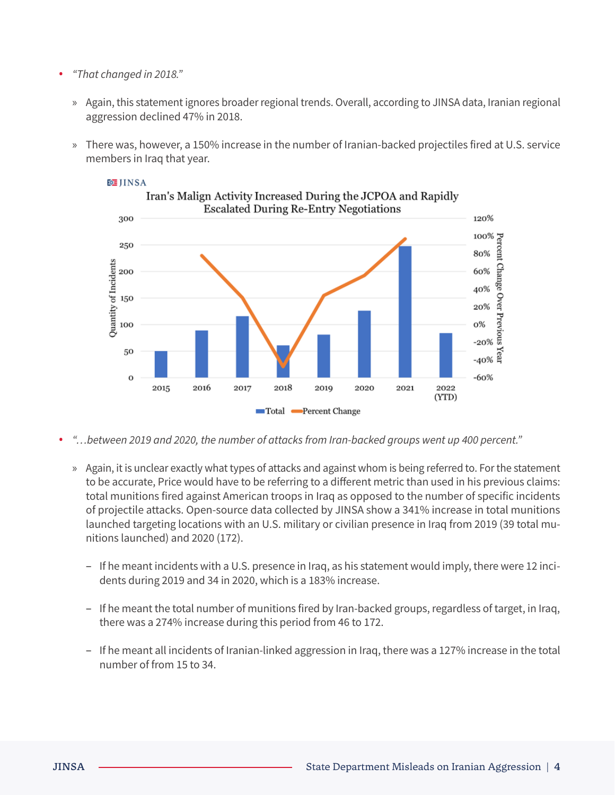### **•** *"That changed in 2018."*

- » Again, this statement ignores broader regional trends. Overall, according to JINSA data, Iranian regional aggression declined 47% in 2018.
- » There was, however, a 150% increase in the number of Iranian-backed projectiles fired at U.S. service members in Iraq that year.



## **随**IINSA

- **•** *"…between 2019 and 2020, the number of attacks from Iran-backed groups went up 400 percent."* 
	- » Again, it is unclear exactly what types of attacks and against whom is being referred to. For the statement to be accurate, Price would have to be referring to a different metric than used in his previous claims: total munitions fired against American troops in Iraq as opposed to the number of specific incidents of projectile attacks. Open-source data collected by JINSA show a 341% increase in total munitions launched targeting locations with an U.S. military or civilian presence in Iraq from 2019 (39 total munitions launched) and 2020 (172).
		- If he meant incidents with a U.S. presence in Iraq, as his statement would imply, there were 12 incidents during 2019 and 34 in 2020, which is a 183% increase.
		- If he meant the total number of munitions fired by Iran-backed groups, regardless of target, in Iraq, there was a 274% increase during this period from 46 to 172.
		- If he meant all incidents of Iranian-linked aggression in Iraq, there was a 127% increase in the total number of from 15 to 34.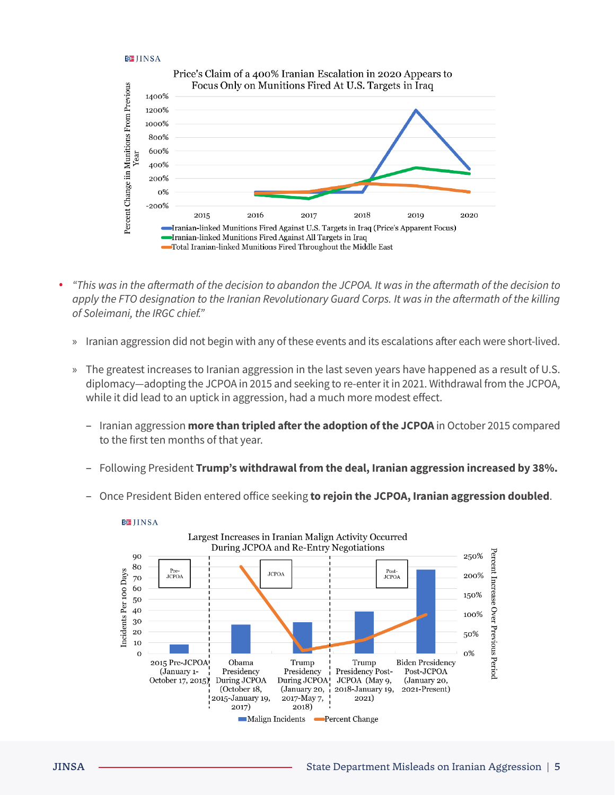#### **BEJINSA**



- **•** *"This was in the aftermath of the decision to abandon the JCPOA. It was in the aftermath of the decision to apply the FTO designation to the Iranian Revolutionary Guard Corps. It was in the aftermath of the killing of Soleimani, the IRGC chief."* 
	- » Iranian aggression did not begin with any of these events and its escalations after each were short-lived.
	- » The greatest increases to Iranian aggression in the last seven years have happened as a result of U.S. diplomacy—adopting the JCPOA in 2015 and seeking to re-enter it in 2021. Withdrawal from the JCPOA, while it did lead to an uptick in aggression, had a much more modest effect.
		- Iranian aggression **more than tripled after the adoption of the JCPOA** in October 2015 compared to the first ten months of that year.
		- Following President **Trump's withdrawal from the deal, Iranian aggression increased by 38%.**
		- Once President Biden entered office seeking **to rejoin the JCPOA, Iranian aggression doubled**.